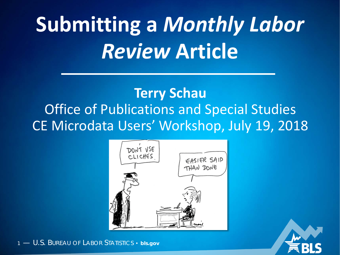# **Submitting a** *Monthly Labor Review* **Article**

#### **Terry Schau** Office of Publications and Special Studies CE Microdata Users' Workshop, July 19, 2018



1 — U.S. BUREAU OF LABOR STATISTICS • **bls.gov**

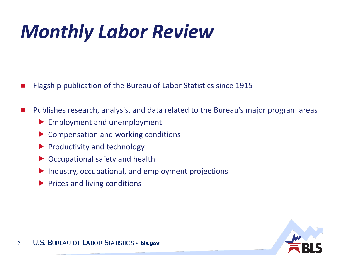### *Monthly Labor Review*

Flagship publication of the Bureau of Labor Statistics since 1915

Publishes research, analysis, and data related to the Bureau's major program areas

- Employment and unemployment
- Compensation and working conditions
- $\blacktriangleright$  Productivity and technology
- Occupational safety and health
- Industry, occupational, and employment projections
- $\blacktriangleright$  Prices and living conditions



2 - U.S. BUREAU OF LABOR STATISTICS · bls.gov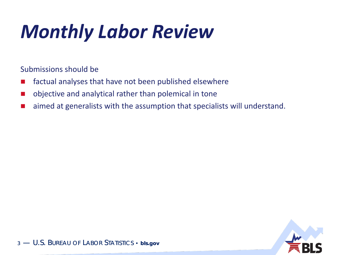## *Monthly Labor Review*

Submissions should be

- factual analyses that have not been published elsewhere
- objective and analytical rather than polemical in tone
- aimed at generalists with the assumption that specialists will understand.



3 - U.S. BUREAU OF LABOR STATISTICS • bls.gov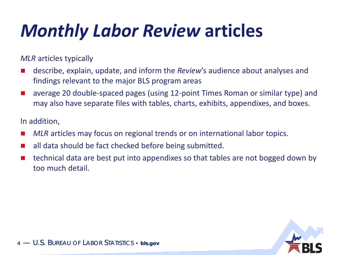### *Monthly Labor Review* **articles**

*MLR* articles typically

- describe, explain, update, and inform the *Review*'s audience about analyses and findings relevant to the major BLS program areas
- average 20 double-spaced pages (using 12-point Times Roman or similar type) and may also have separate files with tables, charts, exhibits, appendixes, and boxes.

In addition,

- *MLR* articles may focus on regional trends or on international labor topics.
- all data should be fact checked before being submitted.
- technical data are best put into appendixes so that tables are not bogged down by too much detail.

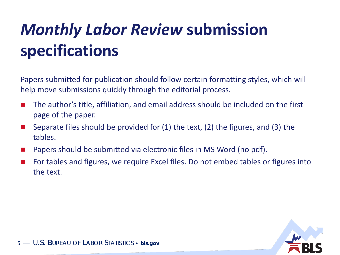### *Monthly Labor Review* **submission specifications**

Papers submitted for publication should follow certain formatting styles, which will help move submissions quickly through the editorial process.

- The author's title, affiliation, and email address should be included on the first page of the paper.
- Separate files should be provided for (1) the text, (2) the figures, and (3) the tables.
- Papers should be submitted via electronic files in MS Word (no pdf).
- For tables and figures, we require Excel files. Do not embed tables or figures into the text.

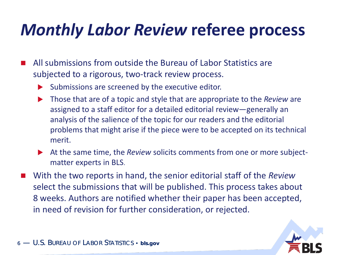### *Monthly Labor Review* **referee process**

- All submissions from outside the Bureau of Labor Statistics are subjected to a rigorous, two-track review process.
	- $\blacktriangleright$  Submissions are screened by the executive editor.
	- Those that are of a topic and style that are appropriate to the *Review* are assigned to a staff editor for a detailed editorial review—generally an analysis of the salience of the topic for our readers and the editorial problems that might arise if the piece were to be accepted on its technical merit.
	- At the same time, the *Review* solicits comments from one or more subjectmatter experts in BLS.
- With the two reports in hand, the senior editorial staff of the *Review* select the submissions that will be published. This process takes about 8 weeks. Authors are notified whether their paper has been accepted, in need of revision for further consideration, or rejected.



6 — U.S. BUREAU OF LABOR STATISTICS · bls.gov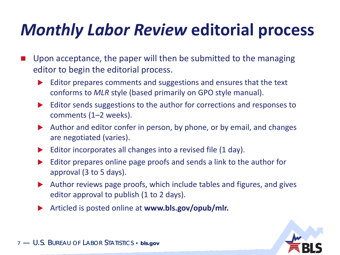### *Monthly Labor Review* **editorial process**

- Upon acceptance, the paper will then be submitted to the managing editor to begin the editorial process.
	- Editor prepares comments and suggestions and ensures that the text conforms to *MLR* style (based primarily on GPO style manual).
	- Editor sends suggestions to the author for corrections and responses to comments (1–2 weeks).
	- Author and editor confer in person, by phone, or by email, and changes are negotiated (varies).
	- Editor incorporates all changes into a revised file (1 day).
	- Editor prepares online page proofs and sends a link to the author for approval (3 to 5 days).
	- Author reviews page proofs, which include tables and figures, and gives editor approval to publish (1 to 2 days).
	- Articled is posted online at **www.bls.gov/opub/mlr.**



7 - U.S. BUREAU OF LABOR STATISTICS · bls.gov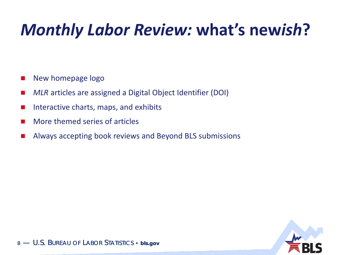### *Monthly Labor Review:* **what's new***ish***?**

- New homepage logo
- *MLR* articles are assigned a Digital Object Identifier (DOI)
- Interactive charts, maps, and exhibits
- More themed series of articles
- Always accepting book reviews and Beyond BLS submissions



8 - U.S. BUREAU OF LABOR STATISTICS • bls.gov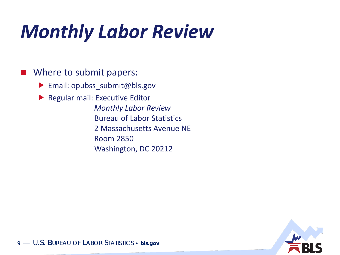## *Monthly Labor Review*

Where to submit papers:

- ▶ Email: opubss\_submit@bls.gov
- ▶ Regular mail: Executive Editor *Monthly Labor Review* Bureau of Labor Statistics 2 Massachusetts Avenue NE Room 2850 Washington, DC 20212



9 - U.S. BUREAU OF LABOR STATISTICS · bls.gov